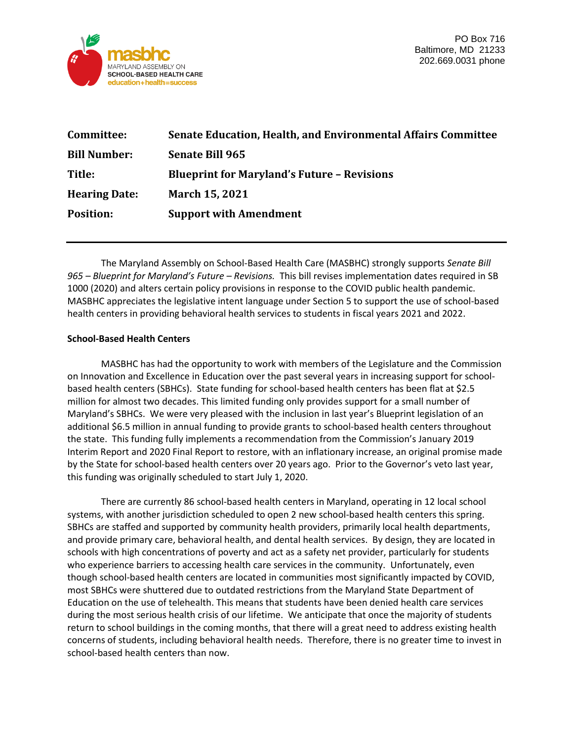

| <b>Senate Education, Health, and Environmental Affairs Committee</b> |
|----------------------------------------------------------------------|
| <b>Senate Bill 965</b>                                               |
| <b>Blueprint for Maryland's Future - Revisions</b>                   |
| <b>March 15, 2021</b>                                                |
| <b>Support with Amendment</b>                                        |
|                                                                      |

The Maryland Assembly on School-Based Health Care (MASBHC) strongly supports *Senate Bill 965 – Blueprint for Maryland's Future – Revisions.* This bill revises implementation dates required in SB 1000 (2020) and alters certain policy provisions in response to the COVID public health pandemic. MASBHC appreciates the legislative intent language under Section 5 to support the use of school-based health centers in providing behavioral health services to students in fiscal years 2021 and 2022.

## **School-Based Health Centers**

MASBHC has had the opportunity to work with members of the Legislature and the Commission on Innovation and Excellence in Education over the past several years in increasing support for schoolbased health centers (SBHCs). State funding for school-based health centers has been flat at \$2.5 million for almost two decades. This limited funding only provides support for a small number of Maryland's SBHCs. We were very pleased with the inclusion in last year's Blueprint legislation of an additional \$6.5 million in annual funding to provide grants to school-based health centers throughout the state. This funding fully implements a recommendation from the Commission's January 2019 Interim Report and 2020 Final Report to restore, with an inflationary increase, an original promise made by the State for school-based health centers over 20 years ago. Prior to the Governor's veto last year, this funding was originally scheduled to start July 1, 2020.

There are currently 86 school-based health centers in Maryland, operating in 12 local school systems, with another jurisdiction scheduled to open 2 new school-based health centers this spring. SBHCs are staffed and supported by community health providers, primarily local health departments, and provide primary care, behavioral health, and dental health services. By design, they are located in schools with high concentrations of poverty and act as a safety net provider, particularly for students who experience barriers to accessing health care services in the community. Unfortunately, even though school-based health centers are located in communities most significantly impacted by COVID, most SBHCs were shuttered due to outdated restrictions from the Maryland State Department of Education on the use of telehealth. This means that students have been denied health care services during the most serious health crisis of our lifetime. We anticipate that once the majority of students return to school buildings in the coming months, that there will a great need to address existing health concerns of students, including behavioral health needs. Therefore, there is no greater time to invest in school-based health centers than now.